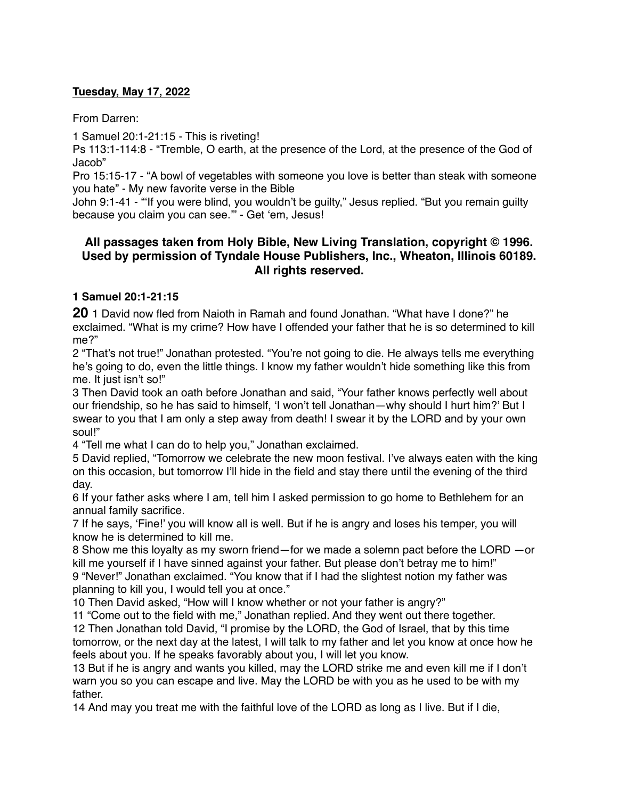#### **Tuesday, May 17, 2022**

From Darren:

1 Samuel 20:1-21:15 - This is riveting!

Ps 113:1-114:8 - "Tremble, O earth, at the presence of the Lord, at the presence of the God of Jacob"

Pro 15:15-17 - "A bowl of vegetables with someone you love is better than steak with someone you hate" - My new favorite verse in the Bible

John 9:1-41 - "'If you were blind, you wouldn't be guilty," Jesus replied. "But you remain guilty because you claim you can see.'" - Get 'em, Jesus!

# **All passages taken from Holy Bible, [New Living Translation](http://www.newlivingtranslation.com/), copyright © 1996. Used by permission of [Tyndale House Publishers](http://tyndale.com/), Inc., Wheaton, Illinois 60189. All rights reserved.**

## **1 Samuel 20:1-21:15**

**20** 1 David now fled from Naioth in Ramah and found Jonathan. "What have I done?" he exclaimed. "What is my crime? How have I offended your father that he is so determined to kill me?"

2 "That's not true!" Jonathan protested. "You're not going to die. He always tells me everything he's going to do, even the little things. I know my father wouldn't hide something like this from me. It just isn't so!"

3 Then David took an oath before Jonathan and said, "Your father knows perfectly well about our friendship, so he has said to himself, 'I won't tell Jonathan—why should I hurt him?' But I swear to you that I am only a step away from death! I swear it by the LORD and by your own soul!"

4 "Tell me what I can do to help you," Jonathan exclaimed.

5 David replied, "Tomorrow we celebrate the new moon festival. I've always eaten with the king on this occasion, but tomorrow I'll hide in the field and stay there until the evening of the third day.

6 If your father asks where I am, tell him I asked permission to go home to Bethlehem for an annual family sacrifice.

7 If he says, 'Fine!' you will know all is well. But if he is angry and loses his temper, you will know he is determined to kill me.

8 Show me this loyalty as my sworn friend—for we made a solemn pact before the LORD —or kill me yourself if I have sinned against your father. But please don't betray me to him!" 9 "Never!" Jonathan exclaimed. "You know that if I had the slightest notion my father was planning to kill you, I would tell you at once."

10 Then David asked, "How will I know whether or not your father is angry?"

11 "Come out to the field with me," Jonathan replied. And they went out there together. 12 Then Jonathan told David, "I promise by the LORD, the God of Israel, that by this time tomorrow, or the next day at the latest, I will talk to my father and let you know at once how he feels about you. If he speaks favorably about you, I will let you know.

13 But if he is angry and wants you killed, may the LORD strike me and even kill me if I don't warn you so you can escape and live. May the LORD be with you as he used to be with my father.

14 And may you treat me with the faithful love of the LORD as long as I live. But if I die,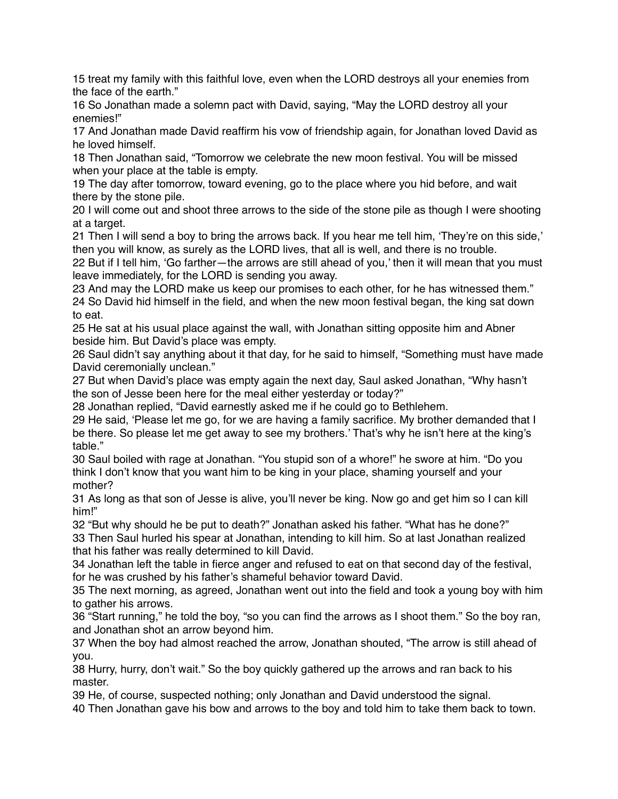15 treat my family with this faithful love, even when the LORD destroys all your enemies from the face of the earth."

16 So Jonathan made a solemn pact with David, saying, "May the LORD destroy all your enemies!"

17 And Jonathan made David reaffirm his vow of friendship again, for Jonathan loved David as he loved himself.

18 Then Jonathan said, "Tomorrow we celebrate the new moon festival. You will be missed when your place at the table is empty.

19 The day after tomorrow, toward evening, go to the place where you hid before, and wait there by the stone pile.

20 I will come out and shoot three arrows to the side of the stone pile as though I were shooting at a target.

21 Then I will send a boy to bring the arrows back. If you hear me tell him, 'They're on this side,' then you will know, as surely as the LORD lives, that all is well, and there is no trouble.

22 But if I tell him, 'Go farther—the arrows are still ahead of you,' then it will mean that you must leave immediately, for the LORD is sending you away.

23 And may the LORD make us keep our promises to each other, for he has witnessed them." 24 So David hid himself in the field, and when the new moon festival began, the king sat down to eat.

25 He sat at his usual place against the wall, with Jonathan sitting opposite him and Abner beside him. But David's place was empty.

26 Saul didn't say anything about it that day, for he said to himself, "Something must have made David ceremonially unclean."

27 But when David's place was empty again the next day, Saul asked Jonathan, "Why hasn't the son of Jesse been here for the meal either yesterday or today?"

28 Jonathan replied, "David earnestly asked me if he could go to Bethlehem.

29 He said, 'Please let me go, for we are having a family sacrifice. My brother demanded that I be there. So please let me get away to see my brothers.' That's why he isn't here at the king's table."

30 Saul boiled with rage at Jonathan. "You stupid son of a whore!" he swore at him. "Do you think I don't know that you want him to be king in your place, shaming yourself and your mother?

31 As long as that son of Jesse is alive, you'll never be king. Now go and get him so I can kill him!"

32 "But why should he be put to death?" Jonathan asked his father. "What has he done?" 33 Then Saul hurled his spear at Jonathan, intending to kill him. So at last Jonathan realized that his father was really determined to kill David.

34 Jonathan left the table in fierce anger and refused to eat on that second day of the festival, for he was crushed by his father's shameful behavior toward David.

35 The next morning, as agreed, Jonathan went out into the field and took a young boy with him to gather his arrows.

36 "Start running," he told the boy, "so you can find the arrows as I shoot them." So the boy ran, and Jonathan shot an arrow beyond him.

37 When the boy had almost reached the arrow, Jonathan shouted, "The arrow is still ahead of you.

38 Hurry, hurry, don't wait." So the boy quickly gathered up the arrows and ran back to his master.

39 He, of course, suspected nothing; only Jonathan and David understood the signal.

40 Then Jonathan gave his bow and arrows to the boy and told him to take them back to town.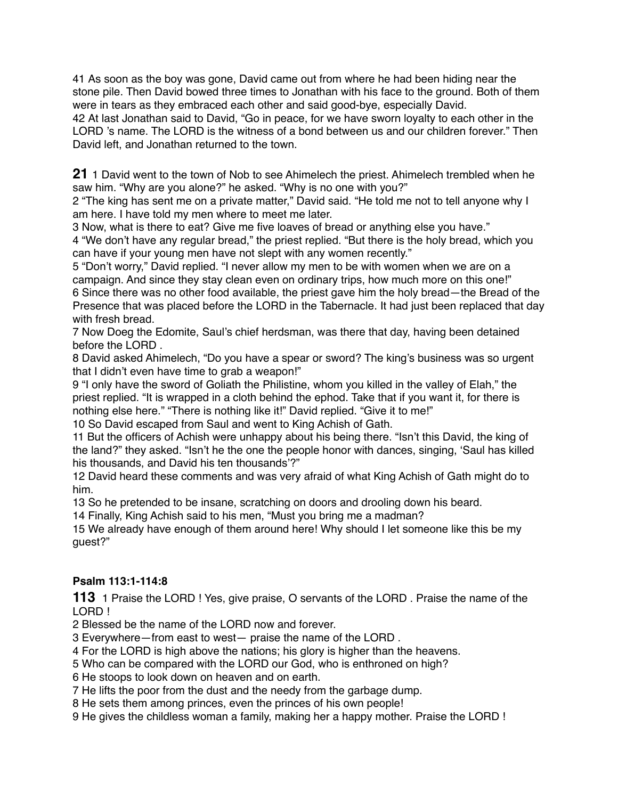41 As soon as the boy was gone, David came out from where he had been hiding near the stone pile. Then David bowed three times to Jonathan with his face to the ground. Both of them were in tears as they embraced each other and said good-bye, especially David.

42 At last Jonathan said to David, "Go in peace, for we have sworn loyalty to each other in the LORD 's name. The LORD is the witness of a bond between us and our children forever." Then David left, and Jonathan returned to the town.

**21** 1 David went to the town of Nob to see Ahimelech the priest. Ahimelech trembled when he saw him. "Why are you alone?" he asked. "Why is no one with you?"

2 "The king has sent me on a private matter," David said. "He told me not to tell anyone why I am here. I have told my men where to meet me later.

3 Now, what is there to eat? Give me five loaves of bread or anything else you have."

4 "We don't have any regular bread," the priest replied. "But there is the holy bread, which you can have if your young men have not slept with any women recently."

5 "Don't worry," David replied. "I never allow my men to be with women when we are on a campaign. And since they stay clean even on ordinary trips, how much more on this one!" 6 Since there was no other food available, the priest gave him the holy bread—the Bread of the Presence that was placed before the LORD in the Tabernacle. It had just been replaced that day with fresh bread.

7 Now Doeg the Edomite, Saul's chief herdsman, was there that day, having been detained before the LORD .

8 David asked Ahimelech, "Do you have a spear or sword? The king's business was so urgent that I didn't even have time to grab a weapon!"

9 "I only have the sword of Goliath the Philistine, whom you killed in the valley of Elah," the priest replied. "It is wrapped in a cloth behind the ephod. Take that if you want it, for there is nothing else here." "There is nothing like it!" David replied. "Give it to me!"

10 So David escaped from Saul and went to King Achish of Gath.

11 But the officers of Achish were unhappy about his being there. "Isn't this David, the king of the land?" they asked. "Isn't he the one the people honor with dances, singing, 'Saul has killed his thousands, and David his ten thousands'?"

12 David heard these comments and was very afraid of what King Achish of Gath might do to him.

13 So he pretended to be insane, scratching on doors and drooling down his beard.

14 Finally, King Achish said to his men, "Must you bring me a madman?

15 We already have enough of them around here! Why should I let someone like this be my guest?"

## **Psalm 113:1-114:8**

**113** 1 Praise the LORD ! Yes, give praise, O servants of the LORD . Praise the name of the LORD !

2 Blessed be the name of the LORD now and forever.

3 Everywhere—from east to west— praise the name of the LORD .

4 For the LORD is high above the nations; his glory is higher than the heavens.

5 Who can be compared with the LORD our God, who is enthroned on high?

6 He stoops to look down on heaven and on earth.

7 He lifts the poor from the dust and the needy from the garbage dump.

8 He sets them among princes, even the princes of his own people!

9 He gives the childless woman a family, making her a happy mother. Praise the LORD !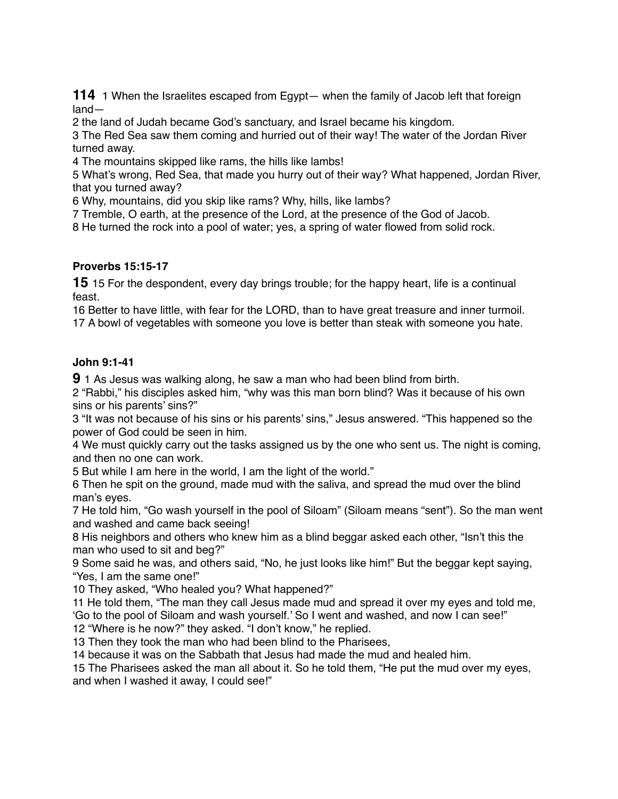1 When the Israelites escaped from Egypt— when the family of Jacob left that foreign land—

the land of Judah became God's sanctuary, and Israel became his kingdom.

 The Red Sea saw them coming and hurried out of their way! The water of the Jordan River turned away.

The mountains skipped like rams, the hills like lambs!

 What's wrong, Red Sea, that made you hurry out of their way? What happened, Jordan River, that you turned away?

Why, mountains, did you skip like rams? Why, hills, like lambs?

Tremble, O earth, at the presence of the Lord, at the presence of the God of Jacob.

He turned the rock into a pool of water; yes, a spring of water flowed from solid rock.

#### **Proverbs 15:15-17**

15 For the despondent, every day brings trouble; for the happy heart, life is a continual feast.

 Better to have little, with fear for the LORD, than to have great treasure and inner turmoil. A bowl of vegetables with someone you love is better than steak with someone you hate.

#### **John 9:1-41**

1 As Jesus was walking along, he saw a man who had been blind from birth.

 "Rabbi," his disciples asked him, "why was this man born blind? Was it because of his own sins or his parents' sins?"

 "It was not because of his sins or his parents' sins," Jesus answered. "This happened so the power of God could be seen in him.

 We must quickly carry out the tasks assigned us by the one who sent us. The night is coming, and then no one can work.

But while I am here in the world, I am the light of the world."

 Then he spit on the ground, made mud with the saliva, and spread the mud over the blind man's eyes.

 He told him, "Go wash yourself in the pool of Siloam" (Siloam means "sent"). So the man went and washed and came back seeing!

 His neighbors and others who knew him as a blind beggar asked each other, "Isn't this the man who used to sit and beg?"

 Some said he was, and others said, "No, he just looks like him!" But the beggar kept saying, "Yes, I am the same one!"

They asked, "Who healed you? What happened?"

 He told them, "The man they call Jesus made mud and spread it over my eyes and told me, 'Go to the pool of Siloam and wash yourself.' So I went and washed, and now I can see!" "Where is he now?" they asked. "I don't know," he replied.

Then they took the man who had been blind to the Pharisees,

because it was on the Sabbath that Jesus had made the mud and healed him.

 The Pharisees asked the man all about it. So he told them, "He put the mud over my eyes, and when I washed it away, I could see!"